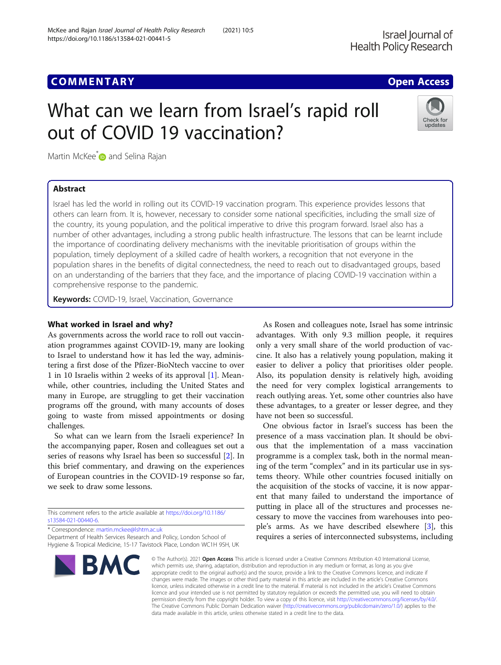https://doi.org/10.1186/s13584-021-00441-5

McKee and Rajan Israel Journal of Health Policy Research (2021) 10:5

# What can we learn from Israel's rapid roll out of COVID 19 vaccination?



Martin McKee<sup>[\\*](http://orcid.org/0000-0002-0121-9683)</sup> and Selina Rajan

# Abstract

Israel has led the world in rolling out its COVID-19 vaccination program. This experience provides lessons that others can learn from. It is, however, necessary to consider some national specificities, including the small size of the country, its young population, and the political imperative to drive this program forward. Israel also has a number of other advantages, including a strong public health infrastructure. The lessons that can be learnt include the importance of coordinating delivery mechanisms with the inevitable prioritisation of groups within the population, timely deployment of a skilled cadre of health workers, a recognition that not everyone in the population shares in the benefits of digital connectedness, the need to reach out to disadvantaged groups, based on an understanding of the barriers that they face, and the importance of placing COVID-19 vaccination within a comprehensive response to the pandemic.

Keywords: COVID-19, Israel, Vaccination, Governance

## What worked in Israel and why?

As governments across the world race to roll out vaccination programmes against COVID-19, many are looking to Israel to understand how it has led the way, administering a first dose of the Pfizer-BioNtech vaccine to over 1 in 10 Israelis within 2 weeks of its approval [\[1](#page-2-0)]. Meanwhile, other countries, including the United States and many in Europe, are struggling to get their vaccination programs off the ground, with many accounts of doses going to waste from missed appointments or dosing challenges.

So what can we learn from the Israeli experience? In the accompanying paper, Rosen and colleagues set out a series of reasons why Israel has been so successful [[2\]](#page-2-0). In this brief commentary, and drawing on the experiences of European countries in the COVID-19 response so far, we seek to draw some lessons.

This comment refers to the article available at [https://doi.org/10.1186/](https://doi.org/10.1186/s13584-021-00440-6) [s13584-021-00440-6](https://doi.org/10.1186/s13584-021-00440-6).

\* Correspondence: [martin.mckee@lshtm.ac.uk](mailto:martin.mckee@lshtm.ac.uk)

Department of Health Services Research and Policy, London School of Hygiene & Tropical Medicine, 15-17 Tavistock Place, London WC1H 9SH, UK



As Rosen and colleagues note, Israel has some intrinsic advantages. With only 9.3 million people, it requires only a very small share of the world production of vaccine. It also has a relatively young population, making it easier to deliver a policy that prioritises older people. Also, its population density is relatively high, avoiding the need for very complex logistical arrangements to reach outlying areas. Yet, some other countries also have these advantages, to a greater or lesser degree, and they have not been so successful.

One obvious factor in Israel's success has been the presence of a mass vaccination plan. It should be obvious that the implementation of a mass vaccination programme is a complex task, both in the normal meaning of the term "complex" and in its particular use in systems theory. While other countries focused initially on the acquisition of the stocks of vaccine, it is now apparent that many failed to understand the importance of putting in place all of the structures and processes necessary to move the vaccines from warehouses into people's arms. As we have described elsewhere [[3\]](#page-2-0), this requires a series of interconnected subsystems, including

© The Author(s), 2021 **Open Access** This article is licensed under a Creative Commons Attribution 4.0 International License, which permits use, sharing, adaptation, distribution and reproduction in any medium or format, as long as you give appropriate credit to the original author(s) and the source, provide a link to the Creative Commons licence, and indicate if changes were made. The images or other third party material in this article are included in the article's Creative Commons licence, unless indicated otherwise in a credit line to the material. If material is not included in the article's Creative Commons licence and your intended use is not permitted by statutory regulation or exceeds the permitted use, you will need to obtain permission directly from the copyright holder. To view a copy of this licence, visit [http://creativecommons.org/licenses/by/4.0/.](http://creativecommons.org/licenses/by/4.0/) The Creative Commons Public Domain Dedication waiver [\(http://creativecommons.org/publicdomain/zero/1.0/](http://creativecommons.org/publicdomain/zero/1.0/)) applies to the data made available in this article, unless otherwise stated in a credit line to the data.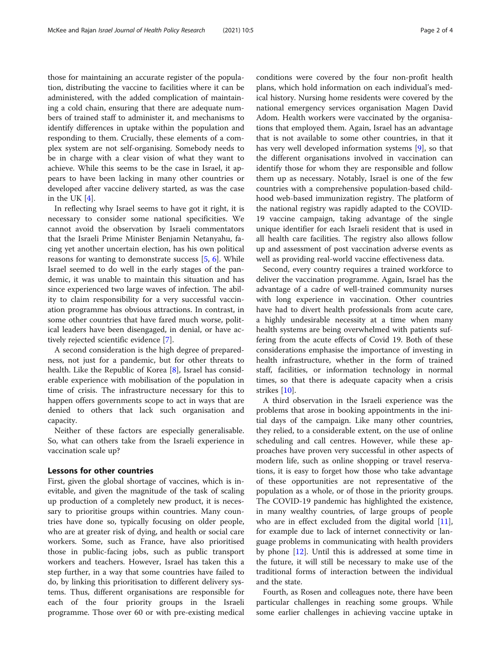those for maintaining an accurate register of the population, distributing the vaccine to facilities where it can be administered, with the added complication of maintaining a cold chain, ensuring that there are adequate numbers of trained staff to administer it, and mechanisms to identify differences in uptake within the population and responding to them. Crucially, these elements of a complex system are not self-organising. Somebody needs to be in charge with a clear vision of what they want to achieve. While this seems to be the case in Israel, it appears to have been lacking in many other countries or developed after vaccine delivery started, as was the case in the UK [\[4](#page-2-0)].

In reflecting why Israel seems to have got it right, it is necessary to consider some national specificities. We cannot avoid the observation by Israeli commentators that the Israeli Prime Minister Benjamin Netanyahu, facing yet another uncertain election, has his own political reasons for wanting to demonstrate success  $[5, 6]$  $[5, 6]$  $[5, 6]$  $[5, 6]$ . While Israel seemed to do well in the early stages of the pandemic, it was unable to maintain this situation and has since experienced two large waves of infection. The ability to claim responsibility for a very successful vaccination programme has obvious attractions. In contrast, in some other countries that have fared much worse, political leaders have been disengaged, in denial, or have actively rejected scientific evidence [[7\]](#page-2-0).

A second consideration is the high degree of preparedness, not just for a pandemic, but for other threats to health. Like the Republic of Korea [[8\]](#page-2-0), Israel has considerable experience with mobilisation of the population in time of crisis. The infrastructure necessary for this to happen offers governments scope to act in ways that are denied to others that lack such organisation and capacity.

Neither of these factors are especially generalisable. So, what can others take from the Israeli experience in vaccination scale up?

#### Lessons for other countries

First, given the global shortage of vaccines, which is inevitable, and given the magnitude of the task of scaling up production of a completely new product, it is necessary to prioritise groups within countries. Many countries have done so, typically focusing on older people, who are at greater risk of dying, and health or social care workers. Some, such as France, have also prioritised those in public-facing jobs, such as public transport workers and teachers. However, Israel has taken this a step further, in a way that some countries have failed to do, by linking this prioritisation to different delivery systems. Thus, different organisations are responsible for each of the four priority groups in the Israeli programme. Those over 60 or with pre-existing medical

conditions were covered by the four non-profit health plans, which hold information on each individual's medical history. Nursing home residents were covered by the national emergency services organisation Magen David Adom. Health workers were vaccinated by the organisations that employed them. Again, Israel has an advantage that is not available to some other countries, in that it has very well developed information systems [\[9](#page-2-0)], so that the different organisations involved in vaccination can identify those for whom they are responsible and follow them up as necessary. Notably, Israel is one of the few countries with a comprehensive population-based childhood web-based immunization registry. The platform of the national registry was rapidly adapted to the COVID-19 vaccine campaign, taking advantage of the single unique identifier for each Israeli resident that is used in all health care facilities. The registry also allows follow up and assessment of post vaccination adverse events as well as providing real-world vaccine effectiveness data.

Second, every country requires a trained workforce to deliver the vaccination programme. Again, Israel has the advantage of a cadre of well-trained community nurses with long experience in vaccination. Other countries have had to divert health professionals from acute care, a highly undesirable necessity at a time when many health systems are being overwhelmed with patients suffering from the acute effects of Covid 19. Both of these considerations emphasise the importance of investing in health infrastructure, whether in the form of trained staff, facilities, or information technology in normal times, so that there is adequate capacity when a crisis strikes [\[10\]](#page-2-0).

A third observation in the Israeli experience was the problems that arose in booking appointments in the initial days of the campaign. Like many other countries, they relied, to a considerable extent, on the use of online scheduling and call centres. However, while these approaches have proven very successful in other aspects of modern life, such as online shopping or travel reservations, it is easy to forget how those who take advantage of these opportunities are not representative of the population as a whole, or of those in the priority groups. The COVID-19 pandemic has highlighted the existence, in many wealthy countries, of large groups of people who are in effect excluded from the digital world [\[11](#page-2-0)], for example due to lack of internet connectivity or language problems in communicating with health providers by phone [\[12](#page-2-0)]. Until this is addressed at some time in the future, it will still be necessary to make use of the traditional forms of interaction between the individual and the state.

Fourth, as Rosen and colleagues note, there have been particular challenges in reaching some groups. While some earlier challenges in achieving vaccine uptake in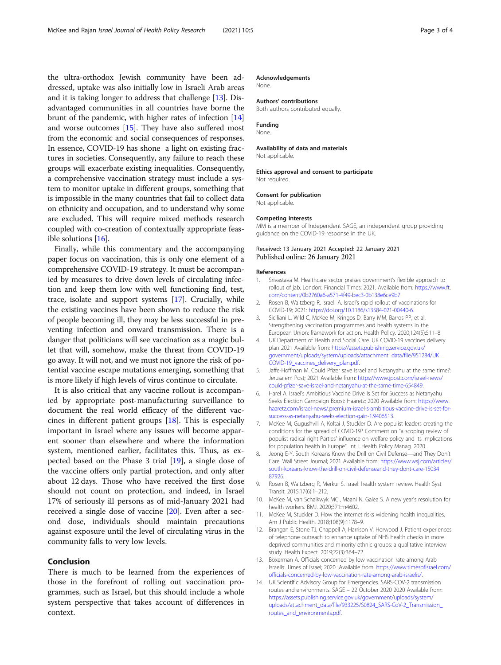<span id="page-2-0"></span>the ultra-orthodox Jewish community have been addressed, uptake was also initially low in Israeli Arab areas and it is taking longer to address that challenge [13]. Disadvantaged communities in all countries have borne the brunt of the pandemic, with higher rates of infection [14] and worse outcomes [\[15\]](#page-3-0). They have also suffered most from the economic and social consequences of responses. In essence, COVID-19 has shone a light on existing fractures in societies. Consequently, any failure to reach these groups will exacerbate existing inequalities. Consequently, a comprehensive vaccination strategy must include a system to monitor uptake in different groups, something that is impossible in the many countries that fail to collect data on ethnicity and occupation, and to understand why some are excluded. This will require mixed methods research coupled with co-creation of contextually appropriate feasible solutions [\[16\]](#page-3-0).

Finally, while this commentary and the accompanying paper focus on vaccination, this is only one element of a comprehensive COVID-19 strategy. It must be accompanied by measures to drive down levels of circulating infection and keep them low with well functioning find, test, trace, isolate and support systems [\[17\]](#page-3-0). Crucially, while the existing vaccines have been shown to reduce the risk of people becoming ill, they may be less successful in preventing infection and onward transmission. There is a danger that politicians will see vaccination as a magic bullet that will, somehow, make the threat from COVID-19 go away. It will not, and we must not ignore the risk of potential vaccine escape mutations emerging, something that is more likely if high levels of virus continue to circulate.

It is also critical that any vaccine rollout is accompanied by appropriate post-manufacturing surveillance to document the real world efficacy of the different vaccines in different patient groups [[18\]](#page-3-0). This is especially important in Israel where any issues will become apparent sooner than elsewhere and where the information system, mentioned earlier, facilitates this. Thus, as expected based on the Phase 3 trial [\[19](#page-3-0)], a single dose of the vaccine offers only partial protection, and only after about 12 days. Those who have received the first dose should not count on protection, and indeed, in Israel 17% of seriously ill persons as of mid-January 2021 had received a single dose of vaccine [\[20\]](#page-3-0). Even after a second dose, individuals should maintain precautions against exposure until the level of circulating virus in the community falls to very low levels.

#### Conclusion

There is much to be learned from the experiences of those in the forefront of rolling out vaccination programmes, such as Israel, but this should include a whole system perspective that takes account of differences in context.

#### Acknowledgements

None.

### Authors' contributions

Both authors contributed equally.

#### Funding

None.

#### Availability of data and materials

Not applicable.

#### Ethics approval and consent to participate Not required.

Consent for publication

Not applicable.

#### Competing interests

MM is a member of Independent SAGE, an independent group providing guidance on the COVID-19 response in the UK.

#### Received: 13 January 2021 Accepted: 22 January 2021 Published online: 26 January 2021

#### References

- 1. Srivastava M. Healthcare sector praises government's flexible approach to rollout of jab. London: Financial Times; 2021. Available from: [https://www.ft.](https://www.ft.com/content/0b2760a6-a571-4f49-bec3-0b138e6ce9b7) [com/content/0b2760a6-a571-4f49-bec3-0b138e6ce9b7](https://www.ft.com/content/0b2760a6-a571-4f49-bec3-0b138e6ce9b7)
- 2. Rosen B, Waitzberg R, Israeli A. Israel's rapid rollout of vaccinations for COVID-19; 2021: <https://doi.org/10.1186/s13584-021-00440-6>.
- 3. Siciliani L, Wild C, McKee M, Kringos D, Barry MM, Barros PP, et al. Strengthening vaccination programmes and health systems in the European Union: framework for action. Health Policy. 2020;124(5):511–8.
- 4. UK Department of Health and Social Care. UK COVID-19 vaccines delivery plan 2021 Available from: [https://assets.publishing.service.gov.uk/](https://assets.publishing.service.gov.uk/government/uploads/system/uploads/attachment_data/file/951284/UK_COVID-19_vaccines_delivery_plan.pdf) [government/uploads/system/uploads/attachment\\_data/file/951284/UK\\_](https://assets.publishing.service.gov.uk/government/uploads/system/uploads/attachment_data/file/951284/UK_COVID-19_vaccines_delivery_plan.pdf) [COVID-19\\_vaccines\\_delivery\\_plan.pdf.](https://assets.publishing.service.gov.uk/government/uploads/system/uploads/attachment_data/file/951284/UK_COVID-19_vaccines_delivery_plan.pdf)
- 5. Jaffe-Hoffman M. Could Pfizer save Israel and Netanyahu at the same time?: Jerusalem Post; 2021 Available from: [https://www.jpost.com/israel-news/](https://www.jpost.com/israel-news/could-pfizer-save-israel-and-netanyahu-at-the-same-time-654849) [could-pfizer-save-israel-and-netanyahu-at-the-same-time-654849.](https://www.jpost.com/israel-news/could-pfizer-save-israel-and-netanyahu-at-the-same-time-654849)
- 6. Harel A. Israel's Ambitious Vaccine Drive Is Set for Success as Netanyahu Seeks Election Campaign Boost: Haaretz; 2020 Available from: [https://www.](https://www.haaretz.com/israel-news/.premium-israel-s-ambitious-vaccine-drive-is-set-for-success-as-netanyahu-seeks-election-gain-1.9406513) [haaretz.com/israel-news/.premium-israel-s-ambitious-vaccine-drive-is-set-for](https://www.haaretz.com/israel-news/.premium-israel-s-ambitious-vaccine-drive-is-set-for-success-as-netanyahu-seeks-election-gain-1.9406513)[success-as-netanyahu-seeks-election-gain-1.9406513.](https://www.haaretz.com/israel-news/.premium-israel-s-ambitious-vaccine-drive-is-set-for-success-as-netanyahu-seeks-election-gain-1.9406513)
- McKee M, Gugushvili A, Koltai J, Stuckler D. Are populist leaders creating the conditions for the spread of COVID-19? Comment on "a scoping review of populist radical right Parties' influence on welfare policy and its implications for population health in Europe". Int J Health Policy Manag. 2020.
- 8. Jeong E-Y. South Koreans Know the Drill on Civil Defense—and They Don't Care: Wall Street Journal; 2021 Available from: [https://www.wsj.com/articles/](https://www.wsj.com/articles/south-koreans-know-the-drill-on-civil-defenseand-they-dont-care-1503487926) [south-koreans-know-the-drill-on-civil-defenseand-they-dont-care-15034](https://www.wsj.com/articles/south-koreans-know-the-drill-on-civil-defenseand-they-dont-care-1503487926) [87926.](https://www.wsj.com/articles/south-koreans-know-the-drill-on-civil-defenseand-they-dont-care-1503487926)
- 9. Rosen B, Waitzberg R, Merkur S. Israel: health system review. Health Syst Transit. 2015;17(6):1–212.
- 10. McKee M, van Schalkwyk MCI, Maani N, Galea S. A new year's resolution for health workers. BMJ. 2020;371:m4602.
- 11. McKee M, Stuckler D. How the internet risks widening health inequalities. Am J Public Health. 2018;108(9):1178–9.
- 12. Brangan E, Stone TJ, Chappell A, Harrison V, Horwood J. Patient experiences of telephone outreach to enhance uptake of NHS health checks in more deprived communities and minority ethnic groups: a qualitative interview study. Health Expect. 2019;22(3):364–72.
- 13. Boxerman A. Officials concerned by low vaccination rate among Arab Israelis: Times of Israel; 2020 [Available from: [https://www.timesofisrael.com/](https://www.timesofisrael.com/officials-concerned-by-low-vaccination-rate-among-arab-israelis/) [officials-concerned-by-low-vaccination-rate-among-arab-israelis/.](https://www.timesofisrael.com/officials-concerned-by-low-vaccination-rate-among-arab-israelis/)
- 14. UK Scientific Advisory Group for Emergencies. SARS-COV-2 transmission routes and environments. SAGE – 22 October 2020 2020 Available from: [https://assets.publishing.service.gov.uk/government/uploads/system/](https://assets.publishing.service.gov.uk/government/uploads/system/uploads/attachment_data/file/933225/S0824_SARS-CoV-2_Transmission_routes_and_environments.pdf) [uploads/attachment\\_data/file/933225/S0824\\_SARS-CoV-2\\_Transmission\\_](https://assets.publishing.service.gov.uk/government/uploads/system/uploads/attachment_data/file/933225/S0824_SARS-CoV-2_Transmission_routes_and_environments.pdf) [routes\\_and\\_environments.pdf](https://assets.publishing.service.gov.uk/government/uploads/system/uploads/attachment_data/file/933225/S0824_SARS-CoV-2_Transmission_routes_and_environments.pdf).